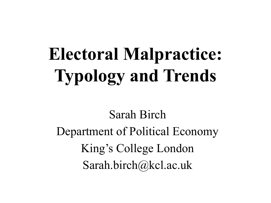# **Electoral Malpractice: Typology and Trends**

Sarah Birch Department of Political Economy King's College London Sarah.birch@kcl.ac.uk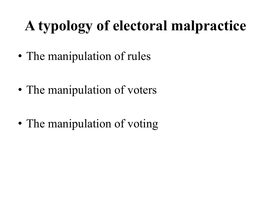### **A typology of electoral malpractice**

- The manipulation of rules
- The manipulation of voters
- The manipulation of voting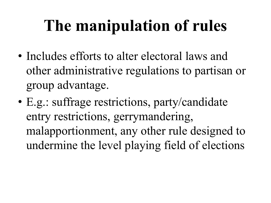## **The manipulation of rules**

- Includes efforts to alter electoral laws and other administrative regulations to partisan or group advantage.
- E.g.: suffrage restrictions, party/candidate entry restrictions, gerrymandering, malapportionment, any other rule designed to undermine the level playing field of elections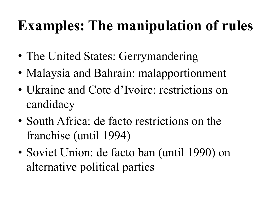#### **Examples: The manipulation of rules**

- The United States: Gerrymandering
- Malaysia and Bahrain: malapportionment
- Ukraine and Cote d'Ivoire: restrictions on candidacy
- South Africa: de facto restrictions on the franchise (until 1994)
- Soviet Union: de facto ban (until 1990) on alternative political parties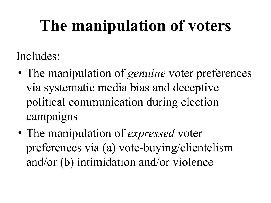## **The manipulation of voters**

Includes:

- The manipulation of *genuine* voter preferences via systematic media bias and deceptive political communication during election campaigns
- The manipulation of *expressed* voter preferences via (a) vote-buying/clientelism and/or (b) intimidation and/or violence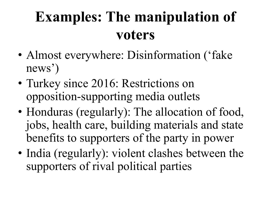### **Examples: The manipulation of voters**

- Almost everywhere: Disinformation ('fake news')
- Turkey since 2016: Restrictions on opposition-supporting media outlets
- Honduras (regularly): The allocation of food, jobs, health care, building materials and state benefits to supporters of the party in power
- India (regularly): violent clashes between the supporters of rival political parties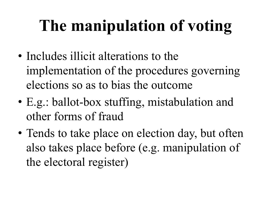## **The manipulation of voting**

- Includes illicit alterations to the implementation of the procedures governing elections so as to bias the outcome
- E.g.: ballot-box stuffing, mistabulation and other forms of fraud
- Tends to take place on election day, but often also takes place before (e.g. manipulation of the electoral register)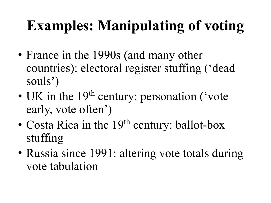### **Examples: Manipulating of voting**

- France in the 1990s (and many other countries): electoral register stuffing ('dead souls')
- UK in the  $19<sup>th</sup>$  century: personation ('vote early, vote often')
- Costa Rica in the  $19<sup>th</sup>$  century: ballot-box stuffing
- Russia since 1991: altering vote totals during vote tabulation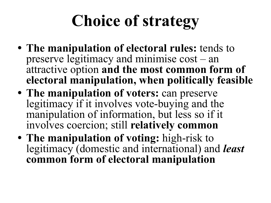## **Choice of strategy**

- **• The manipulation of electoral rules:** tends to preserve legitimacy and minimise cost – an attractive option **and the most common form of electoral manipulation, when politically feasible**
- **• The manipulation of voters:** can preserve legitimacy if it involves vote-buying and the manipulation of information, but less so if it involves coercion; still **relatively common**
- **• The manipulation of voting:** high-risk to legitimacy (domestic and international) and *least* **common form of electoral manipulation**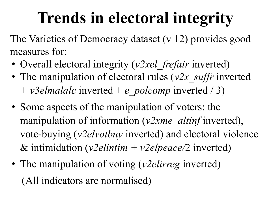## **Trends in electoral integrity**

The Varieties of Democracy dataset (v 12) provides good measures for:

- Overall electoral integrity (*v2xel\_frefair* inverted)
- The manipulation of electoral rules ( $v2x$  *suffr* inverted *+ v3elmalalc* inverted + *e\_polcomp* inverted / 3)
- Some aspects of the manipulation of voters: the manipulation of information (*v2xme\_altinf* inverted), vote-buying (*v2elvotbuy* inverted) and electoral violence & intimidation (*v2elintim + v2elpeace/*2 inverted)
- The manipulation of voting (*v2elirreg* inverted) (All indicators are normalised)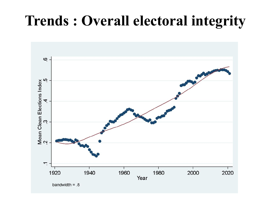#### **Trends : Overall electoral integrity**

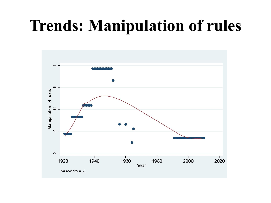### **Trends: Manipulation of rules**

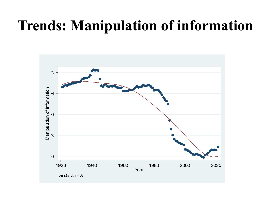#### **Trends: Manipulation of information**

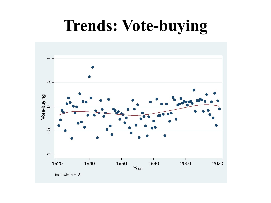### **Trends: Vote-buying**

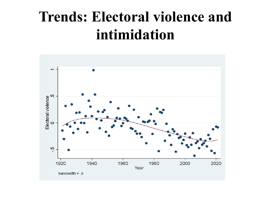#### **Trends: Electoral violence and intimidation**

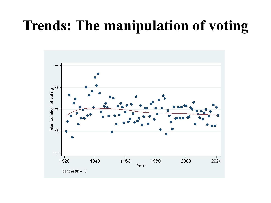#### **Trends: The manipulation of voting**